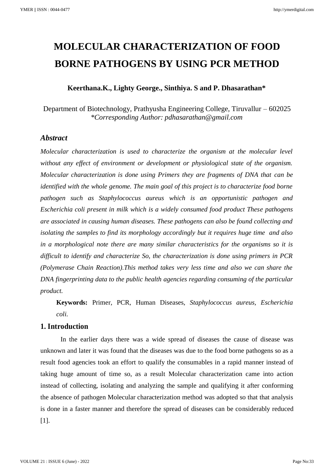# **MOLECULAR CHARACTERIZATION OF FOOD BORNE PATHOGENS BY USING PCR METHOD**

# **Keerthana.K., Lighty George., Sinthiya. S and P. Dhasarathan\***

Department of Biotechnology, Prathyusha Engineering College, Tiruvallur – 602025 *\*Corresponding Author: pdhasarathan@gmail.com*

## *Abstract*

*Molecular characterization is used to characterize the organism at the molecular level without any effect of environment or development or physiological state of the organism. Molecular characterization is done using Primers they are fragments of DNA that can be identified with the whole genome. The main goal of this project is to characterize food borne pathogen such as Staphylococcus aureus which is an opportunistic pathogen and Escherichia coli present in milk which is a widely consumed food product These pathogens are associated in causing human diseases. These pathogens can also be found collecting and isolating the samples to find its morphology accordingly but it requires huge time and also in a morphological note there are many similar characteristics for the organisms so it is difficult to identify and characterize So, the characterization is done using primers in PCR (Polymerase Chain Reaction).This method takes very less time and also we can share the DNA fingerprinting data to the public health agencies regarding consuming of the particular product.* 

**Keywords:** Primer, PCR, Human Diseases, *Staphylococcus aureus, Escherichia coli.*

## **1. Introduction**

In the earlier days there was a wide spread of diseases the cause of disease was unknown and later it was found that the diseases was due to the food borne pathogens so as a result food agencies took an effort to qualify the consumables in a rapid manner instead of taking huge amount of time so, as a result Molecular characterization came into action instead of collecting, isolating and analyzing the sample and qualifying it after conforming the absence of pathogen Molecular characterization method was adopted so that that analysis is done in a faster manner and therefore the spread of diseases can be considerably reduced [1].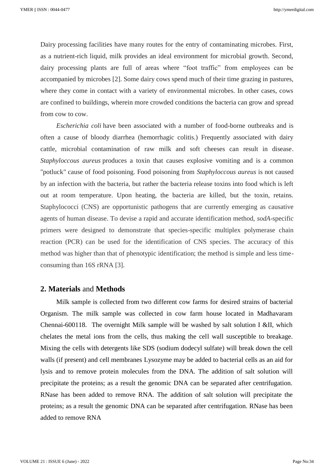Dairy processing facilities have many routes for the entry of contaminating microbes. First, as a nutrient-rich liquid, milk provides an ideal environment for microbial growth. Second, dairy processing plants are full of areas where "foot traffic" from employees can be accompanied by microbes [2]. Some dairy cows spend much of their time grazing in pastures, where they come in contact with a variety of environmental microbes. In other cases, cows are confined to buildings, wherein more crowded conditions the bacteria can grow and spread from cow to cow.

*Escherichia coli* have been associated with a number of food-borne outbreaks and is often a cause of bloody diarrhea (hemorrhagic colitis.) Frequently associated with dairy cattle, microbial contamination of raw milk and soft cheeses can result in disease. *Staphyloccous aureus* produces a toxin that causes explosive vomiting and is a common "potluck" cause of food poisoning. Food poisoning from *Staphyloccous aureus* is not caused by an infection with the bacteria, but rather the bacteria release toxins into food which is left out at room temperature. Upon heating, the bacteria are killed, but the toxin, retains. Staphylococci (CNS) are opportunistic pathogens that are currently emerging as causative agents of human disease. To devise a rapid and accurate identification method, *sodA*-specific primers were designed to demonstrate that species-specific multiplex polymerase chain reaction (PCR) can be used for the identification of CNS species. The accuracy of this method was higher than that of phenotypic identification; the method is simple and less timeconsuming than 16S rRNA [3].

#### **2. Materials** and **Methods**

Milk sample is collected from two different cow farms for desired strains of bacterial Organism. The milk sample was collected in cow farm house located in Madhavaram Chennai-600118. The overnight Milk sample will be washed by salt solution I &II, which chelates the metal ions from the cells, thus making the cell wall susceptible to breakage. Mixing the cells with detergents like SDS (sodium dodecyl sulfate) will break down the cell walls (if present) and cell membranes Lysozyme may be added to bacterial cells as an aid for lysis and to remove protein molecules from the DNA. The addition of salt solution will precipitate the proteins; as a result the genomic DNA can be separated after centrifugation. RNase has been added to remove RNA. The addition of salt solution will precipitate the proteins; as a result the genomic DNA can be separated after centrifugation. RNase has been added to remove RNA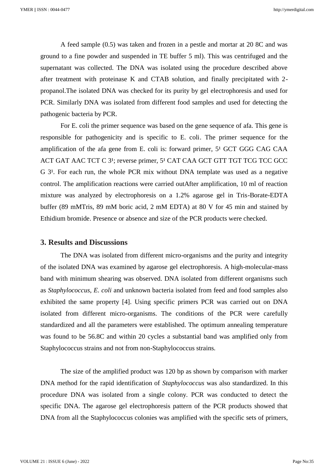A feed sample (0.5) was taken and frozen in a pestle and mortar at 20 8C and was ground to a fine powder and suspended in TE buffer 5 ml). This was centrifuged and the supernatant was collected. The DNA was isolated using the procedure described above after treatment with proteinase K and CTAB solution, and finally precipitated with 2 propanol.The isolated DNA was checked for its purity by gel electrophoresis and used for PCR. Similarly DNA was isolated from different food samples and used for detecting the pathogenic bacteria by PCR.

For E. coli the primer sequence was based on the gene sequence of afa. This gene is responsible for pathogenicity and is specific to E. coli. The primer sequence for the amplification of the afa gene from E. coli is: forward primer, 5<sup>1</sup> GCT GGG CAG CAA ACT GAT AAC TCT C 3<sup>1</sup>; reverse primer, 5<sup>1</sup> CAT CAA GCT GTT TGT TCG TCC GCC G 3<sup>1</sup>. For each run, the whole PCR mix without DNA template was used as a negative control. The amplification reactions were carried outAfter amplification, 10 ml of reaction mixture was analyzed by electrophoresis on a 1.2% agarose gel in Tris-Borate-EDTA buffer (89 mMTris, 89 mM boric acid, 2 mM EDTA) at 80 V for 45 min and stained by Ethidium bromide. Presence or absence and size of the PCR products were checked.

## **3. Results and Discussions**

The DNA was isolated from different micro-organisms and the purity and integrity of the isolated DNA was examined by agarose gel electrophoresis. A high-molecular-mass band with minimum shearing was observed. DNA isolated from different organisms such as *Staphylococcus*, *E. coli* and unknown bacteria isolated from feed and food samples also exhibited the same property [4]. Using specific primers PCR was carried out on DNA isolated from different micro-organisms. The conditions of the PCR were carefully standardized and all the parameters were established. The optimum annealing temperature was found to be 56.8C and within 20 cycles a substantial band was amplified only from Staphylococcus strains and not from non-Staphylococcus strains.

The size of the amplified product was 120 bp as shown by comparison with marker DNA method for the rapid identification of *Staphylococcus* was also standardized. In this procedure DNA was isolated from a single colony. PCR was conducted to detect the specific DNA. The agarose gel electrophoresis pattern of the PCR products showed that DNA from all the Staphylococcus colonies was amplified with the specific sets of primers,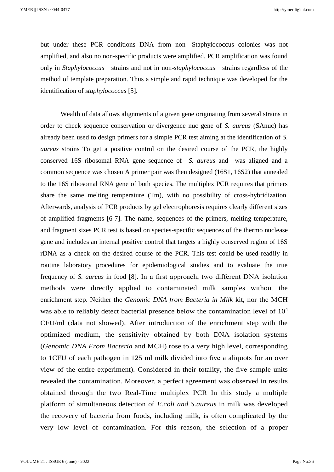but under these PCR conditions DNA from non- Staphylococcus colonies was not amplified, and also no non-specific products were amplified. PCR amplification was found only in *Staphylococcus* strains and not in non-*staphylococcus* strains regardless of the method of template preparation. Thus a simple and rapid technique was developed for the identification of *staphylococcus* [5]*.* 

Wealth of data allows alignments of a given gene originating from several strains in order to check sequence conservation or divergence nuc gene of *S. aureus* (SAnuc) has already been used to design primers for a simple PCR test aiming at the identification of *S. aureus* strains To get a positive control on the desired course of the PCR, the highly conserved 16S ribosomal RNA gene sequence of *S. aureus* and was aligned and a common sequence was chosen A primer pair was then designed (16S1, 16S2) that annealed to the 16S ribosomal RNA gene of both species. The multiplex PCR requires that primers share the same melting temperature (Tm), with no possibility of cross-hybridization. Afterwards, analysis of PCR products by gel electrophoresis requires clearly different sizes of amplified fragments [6-7]. The name, sequences of the primers, melting temperature, and fragment sizes PCR test is based on species-specific sequences of the thermo nuclease gene and includes an internal positive control that targets a highly conserved region of 16S rDNA as a check on the desired course of the PCR. This test could be used readily in routine laboratory procedures for epidemiological studies and to evaluate the true frequency of *S. aureus* in food [8]. In a first approach, two different DNA isolation methods were directly applied to contaminated milk samples without the enrichment step. Neither the *Genomic DNA from Bacteria in Milk* kit, nor the MCH was able to reliably detect bacterial presence below the contamination level of  $10<sup>4</sup>$ CFU/ml (data not showed). After introduction of the enrichment step with the optimized medium, the sensitivity obtained by both DNA isolation systems (*Genomic DNA From Bacteria* and MCH) rose to a very high level, corresponding to 1CFU of each pathogen in 125 ml milk divided into five a aliquots for an over view of the entire experiment). Considered in their totality, the five sample units revealed the contamination. Moreover, a perfect agreement was observed in results obtained through the two Real-Time multiplex PCR In this study a multiple platform of simultaneous detection of *E.coli and S.aureus* in milk was developed the recovery of bacteria from foods, including milk, is often complicated by the very low level of contamination. For this reason, the selection of a proper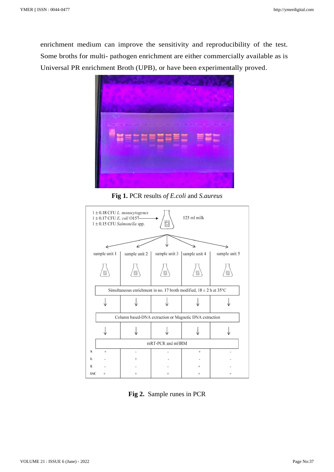enrichment medium can improve the sensitivity and reproducibility of the test. Some broths for multi- pathogen enrichment are either commercially available as is Universal PR enrichment Broth (UPB), or have been experimentally proved.



**Fig 1.** PCR results *of E.coli* and *S.aureus*



**Fig 2.** Sample runes in PCR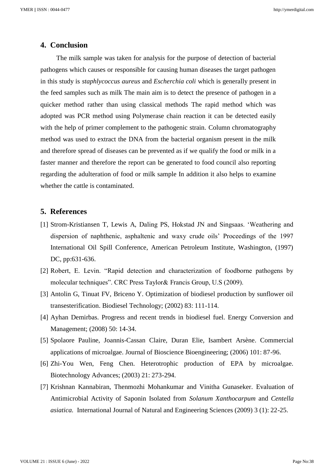## **4. Conclusion**

The milk sample was taken for analysis for the purpose of detection of bacterial pathogens which causes or responsible for causing human diseases the target pathogen in this study is *staphlycoccus aureus* and *Escherchia coli* which is generally present in the feed samples such as milk The main aim is to detect the presence of pathogen in a quicker method rather than using classical methods The rapid method which was adopted was PCR method using Polymerase chain reaction it can be detected easily with the help of primer complement to the pathogenic strain. Column chromatography method was used to extract the DNA from the bacterial organism present in the milk and therefore spread of diseases can be prevented as if we qualify the food or milk in a faster manner and therefore the report can be generated to food council also reporting regarding the adulteration of food or milk sample In addition it also helps to examine whether the cattle is contaminated.

# **5. References**

- [1] Strom-Kristiansen T, Lewis A, Daling PS, Hokstad JN and Singsaas. 'Weathering and dispersion of naphthenic, asphaltenic and waxy crude oils' Proceedings of the 1997 International Oil Spill Conference, American Petroleum Institute, Washington, (1997) DC, pp:631-636.
- [2] Robert, E. Levin. "Rapid detection and characterization of foodborne pathogens by molecular techniques". CRC Press Taylor& Francis Group, U.S (2009).
- [3] Antolin G, Tinuat FV, Briceno Y. Optimization of biodiesel production by sunflower oil transesterification. Biodiesel Technology; (2002) 83: 111-114.
- [4] Ayhan Demirbas. Progress and recent trends in biodiesel fuel. Energy Conversion and Management; (2008) 50: 14-34.
- [5] Spolaore Pauline, Joannis-Cassan Claire, Duran Elie, Isambert Arsène. Commercial applications of microalgae. Journal of Bioscience Bioengineering; (2006) 101: 87-96.
- [6] Zhi-You Wen, Feng Chen. Heterotrophic production of EPA by microalgae. Biotechnology Advances; (2003) 21: 273-294.
- [7] Krishnan Kannabiran, Thenmozhi Mohankumar and Vinitha Gunaseker. Evaluation of Antimicrobial Activity of Saponin Isolated from *Solanum Xanthocarpum* and *Centella asiatica.* International Journal of Natural and Engineering Sciences (2009) 3 (1): 22-25.